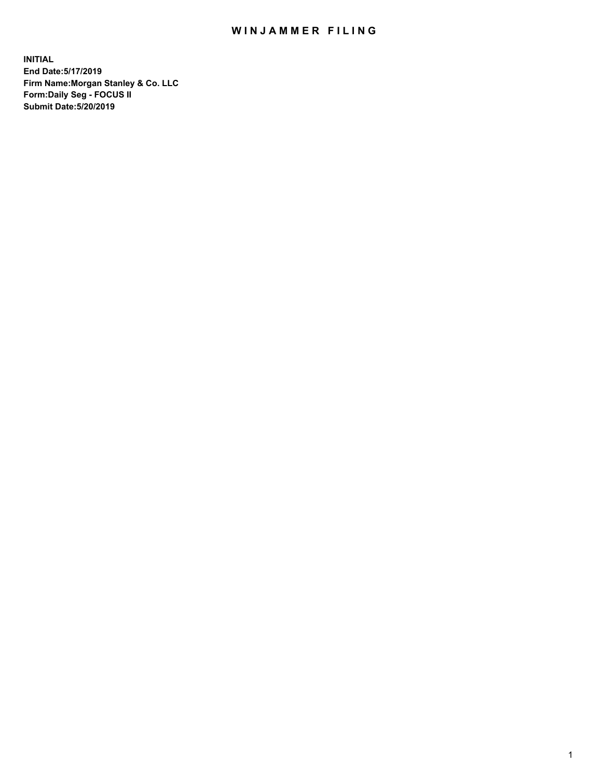## WIN JAMMER FILING

**INITIAL End Date:5/17/2019 Firm Name:Morgan Stanley & Co. LLC Form:Daily Seg - FOCUS II Submit Date:5/20/2019**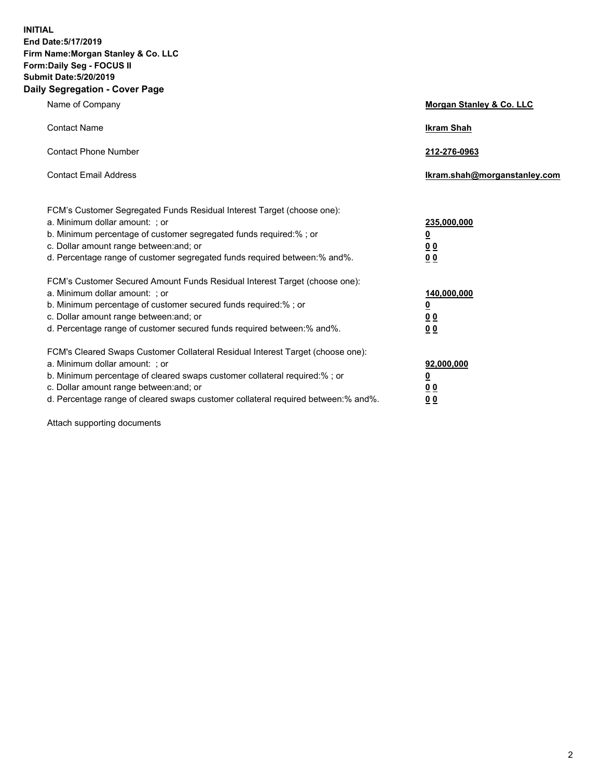**INITIAL End Date:5/17/2019 Firm Name:Morgan Stanley & Co. LLC Form:Daily Seg - FOCUS II Submit Date:5/20/2019 Daily Segregation - Cover Page**

| Name of Company                                                                   | Morgan Stanley & Co. LLC     |
|-----------------------------------------------------------------------------------|------------------------------|
| <b>Contact Name</b>                                                               | <b>Ikram Shah</b>            |
| <b>Contact Phone Number</b>                                                       | 212-276-0963                 |
| <b>Contact Email Address</b>                                                      | Ikram.shah@morganstanley.com |
| FCM's Customer Segregated Funds Residual Interest Target (choose one):            |                              |
| a. Minimum dollar amount: ; or                                                    | 235,000,000                  |
| b. Minimum percentage of customer segregated funds required:%; or                 | <u>0</u>                     |
| c. Dollar amount range between: and; or                                           | 0 <sub>0</sub>               |
| d. Percentage range of customer segregated funds required between: % and %.       | 0 <sub>0</sub>               |
| FCM's Customer Secured Amount Funds Residual Interest Target (choose one):        |                              |
| a. Minimum dollar amount: ; or                                                    | 140,000,000                  |
| b. Minimum percentage of customer secured funds required:%; or                    | <u>0</u>                     |
| c. Dollar amount range between: and; or                                           | <u>00</u>                    |
| d. Percentage range of customer secured funds required between:% and%.            | 0 <sub>0</sub>               |
| FCM's Cleared Swaps Customer Collateral Residual Interest Target (choose one):    |                              |
| a. Minimum dollar amount: ; or                                                    | 92,000,000                   |
| b. Minimum percentage of cleared swaps customer collateral required:% ; or        | <u>0</u>                     |
| c. Dollar amount range between: and; or                                           | <u>00</u>                    |
| d. Percentage range of cleared swaps customer collateral required between:% and%. | 00                           |

Attach supporting documents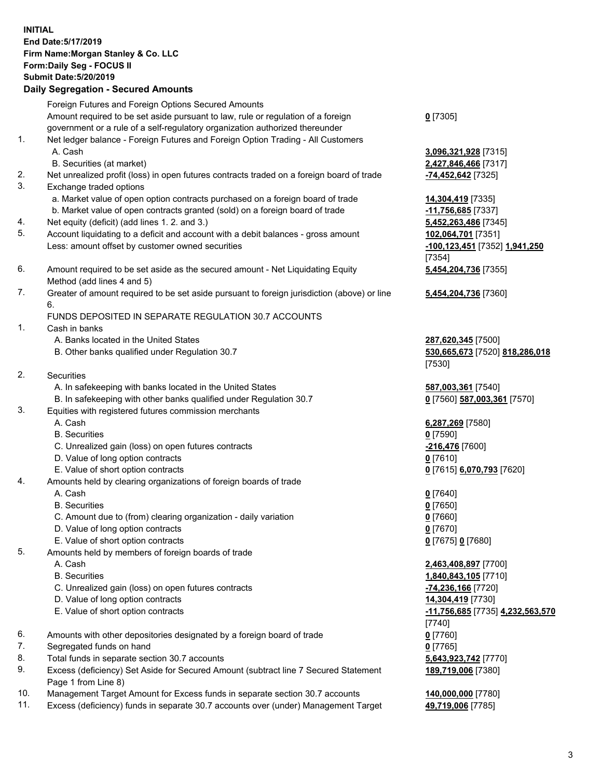## **INITIAL End Date:5/17/2019 Firm Name:Morgan Stanley & Co. LLC Form:Daily Seg - FOCUS II Submit Date:5/20/2019 Daily Segregation - Secured Amounts** Foreign Futures and Foreign Options Secured Amounts Amount required to be set aside pursuant to law, rule or regulation of a foreign government or a rule of a self-regulatory organization authorized thereunder 1. Net ledger balance - Foreign Futures and Foreign Option Trading - All Customers A. Cash **3,096,321,928** [7315] B. Securities (at market) **2,427,846,466** [7317] 2. Net unrealized profit (loss) in open futures contracts traded on a foreign board of trade **-74,452,642** [7325] 3. Exchange traded options a. Market value of open option contracts purchased on a foreign board of trade **14,304,419** [7335] b. Market value of open contracts granted (sold) on a foreign board of trade **-11,756,685** [7337] 4. Net equity (deficit) (add lines 1. 2. and 3.) **5,452,263,486** [7345] 5. Account liquidating to a deficit and account with a debit balances - gross amount **102,064,701** [7351] Less: amount offset by customer owned securities **-100,123,451** [7352] **1,941,250** 6. Amount required to be set aside as the secured amount - Net Liquidating Equity Method (add lines 4 and 5) 7. Greater of amount required to be set aside pursuant to foreign jurisdiction (above) or line 6. FUNDS DEPOSITED IN SEPARATE REGULATION 30.7 ACCOUNTS 1. Cash in banks A. Banks located in the United States **287,620,345** [7500] B. Other banks qualified under Regulation 30.7 **530,665,673** [7520] **818,286,018** 2. Securities A. In safekeeping with banks located in the United States **587,003,361** [7540] B. In safekeeping with other banks qualified under Regulation 30.7 **0** [7560] **587,003,361** [7570]

- 3. Equities with registered futures commission merchants
	-
	- B. Securities **0** [7590]
	- C. Unrealized gain (loss) on open futures contracts **-216,476** [7600]
	- D. Value of long option contracts **0** [7610]
- E. Value of short option contracts **0** [7615] **6,070,793** [7620]
- 4. Amounts held by clearing organizations of foreign boards of trade
	- A. Cash **0** [7640]
	- B. Securities **0** [7650]
	- C. Amount due to (from) clearing organization daily variation **0** [7660]
	- D. Value of long option contracts **0** [7670]
	- E. Value of short option contracts **0** [7675] **0** [7680]
- 5. Amounts held by members of foreign boards of trade
	-
	-
	- C. Unrealized gain (loss) on open futures contracts **-74,236,166** [7720]
	- D. Value of long option contracts **14,304,419** [7730]
	- E. Value of short option contracts **-11,756,685** [7735] **4,232,563,570**
- 6. Amounts with other depositories designated by a foreign board of trade **0** [7760]
- 7. Segregated funds on hand **0** [7765]
- 8. Total funds in separate section 30.7 accounts **5,643,923,742** [7770]
- 9. Excess (deficiency) Set Aside for Secured Amount (subtract line 7 Secured Statement Page 1 from Line 8)
- 10. Management Target Amount for Excess funds in separate section 30.7 accounts **140,000,000** [7780]
- 11. Excess (deficiency) funds in separate 30.7 accounts over (under) Management Target **49,719,006** [7785]

**0** [7305]

[7354] **5,454,204,736** [7355]

**5,454,204,736** [7360]

[7530]

A. Cash **6,287,269** [7580]

 A. Cash **2,463,408,897** [7700] B. Securities **1,840,843,105** [7710] [7740] **189,719,006** [7380]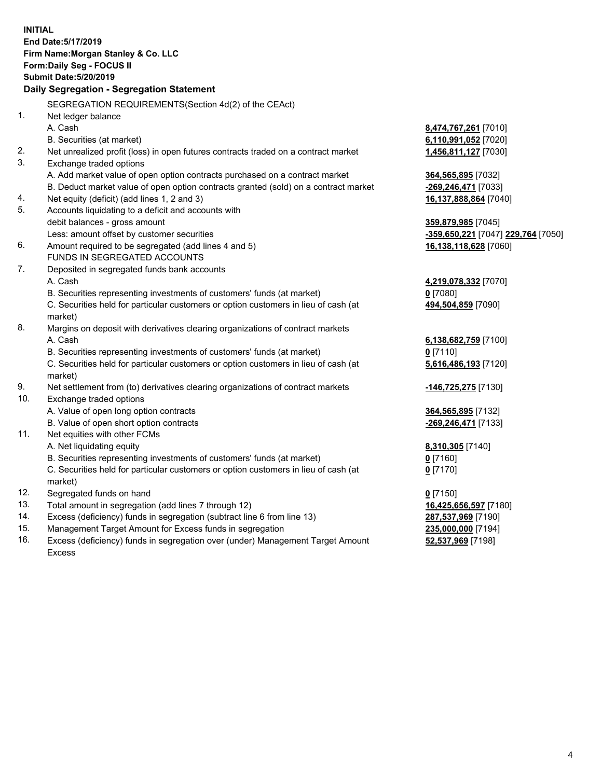|     | <b>INITIAL</b><br>End Date: 5/17/2019<br>Firm Name: Morgan Stanley & Co. LLC<br><b>Form:Daily Seg - FOCUS II</b><br><b>Submit Date: 5/20/2019</b> |                                    |
|-----|---------------------------------------------------------------------------------------------------------------------------------------------------|------------------------------------|
|     | Daily Segregation - Segregation Statement                                                                                                         |                                    |
|     | SEGREGATION REQUIREMENTS (Section 4d(2) of the CEAct)                                                                                             |                                    |
| 1.  | Net ledger balance                                                                                                                                |                                    |
|     | A. Cash                                                                                                                                           | 8,474,767,261 [7010]               |
|     | B. Securities (at market)                                                                                                                         | 6,110,991,052 [7020]               |
| 2.  | Net unrealized profit (loss) in open futures contracts traded on a contract market                                                                | 1,456,811,127 [7030]               |
| 3.  | Exchange traded options                                                                                                                           |                                    |
|     | A. Add market value of open option contracts purchased on a contract market                                                                       | 364,565,895 [7032]                 |
|     | B. Deduct market value of open option contracts granted (sold) on a contract market                                                               | <u>-269,246,471</u> [7033]         |
| 4.  | Net equity (deficit) (add lines 1, 2 and 3)                                                                                                       | <u>16,137,888,864</u> [7040]       |
| 5.  | Accounts liquidating to a deficit and accounts with                                                                                               |                                    |
|     | debit balances - gross amount                                                                                                                     | <u>359,879,985</u> [7045]          |
|     | Less: amount offset by customer securities                                                                                                        | -359,650,221 [7047] 229,764 [7050] |
| 6.  | Amount required to be segregated (add lines 4 and 5)                                                                                              | 16,138,118,628 [7060]              |
|     | FUNDS IN SEGREGATED ACCOUNTS                                                                                                                      |                                    |
| 7.  | Deposited in segregated funds bank accounts                                                                                                       |                                    |
|     | A. Cash                                                                                                                                           | 4,219,078,332 [7070]               |
|     | B. Securities representing investments of customers' funds (at market)                                                                            | $0$ [7080]                         |
|     | C. Securities held for particular customers or option customers in lieu of cash (at<br>market)                                                    | 494,504,859 [7090]                 |
| 8.  | Margins on deposit with derivatives clearing organizations of contract markets                                                                    |                                    |
|     | A. Cash                                                                                                                                           | 6,138,682,759 [7100]               |
|     | B. Securities representing investments of customers' funds (at market)                                                                            | $0$ [7110]                         |
|     | C. Securities held for particular customers or option customers in lieu of cash (at<br>market)                                                    | 5,616,486,193 [7120]               |
| 9.  | Net settlement from (to) derivatives clearing organizations of contract markets                                                                   | <u>-146,725,275</u> [7130]         |
| 10. | Exchange traded options                                                                                                                           |                                    |
|     | A. Value of open long option contracts                                                                                                            | 364,565,895 [7132]                 |
|     | B. Value of open short option contracts                                                                                                           | -269,246,471 [7133]                |
| 11. | Net equities with other FCMs                                                                                                                      |                                    |
|     | A. Net liquidating equity                                                                                                                         | 8,310,305 [7140]                   |
|     | B. Securities representing investments of customers' funds (at market)                                                                            | $0$ [7160]                         |
|     | C. Securities held for particular customers or option customers in lieu of cash (at<br>market)                                                    | 0 <sup>[7170]</sup>                |
| 12. | Segregated funds on hand                                                                                                                          | $0$ [7150]                         |
| 13. | Total amount in segregation (add lines 7 through 12)                                                                                              | 16,425,656,597 [7180]              |
| 14. | Excess (deficiency) funds in segregation (subtract line 6 from line 13)                                                                           | <u>287,537,969</u> [7190]          |
| 15. | Management Target Amount for Excess funds in segregation                                                                                          | 235,000,000 [7194]                 |

16. Excess (deficiency) funds in segregation over (under) Management Target Amount Excess

**52,537,969** [7198]